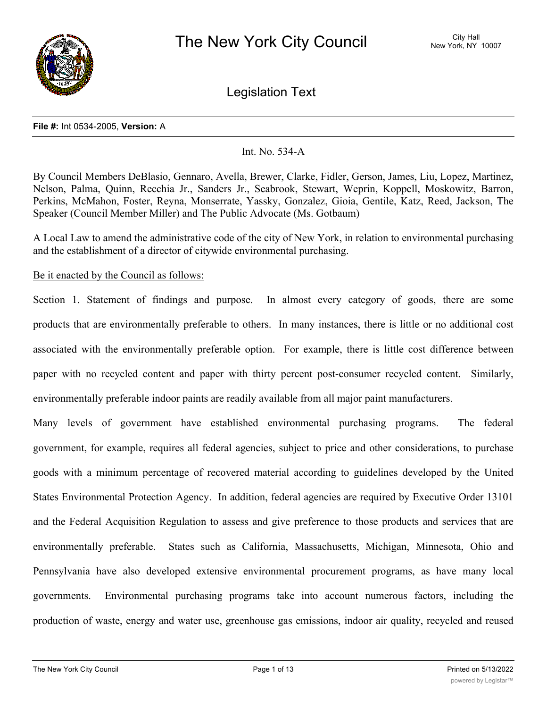

Legislation Text

#### **File #:** Int 0534-2005, **Version:** A

### Int. No. 534-A

By Council Members DeBlasio, Gennaro, Avella, Brewer, Clarke, Fidler, Gerson, James, Liu, Lopez, Martinez, Nelson, Palma, Quinn, Recchia Jr., Sanders Jr., Seabrook, Stewart, Weprin, Koppell, Moskowitz, Barron, Perkins, McMahon, Foster, Reyna, Monserrate, Yassky, Gonzalez, Gioia, Gentile, Katz, Reed, Jackson, The Speaker (Council Member Miller) and The Public Advocate (Ms. Gotbaum)

A Local Law to amend the administrative code of the city of New York, in relation to environmental purchasing and the establishment of a director of citywide environmental purchasing.

Be it enacted by the Council as follows:

Section 1. Statement of findings and purpose. In almost every category of goods, there are some products that are environmentally preferable to others. In many instances, there is little or no additional cost associated with the environmentally preferable option. For example, there is little cost difference between paper with no recycled content and paper with thirty percent post-consumer recycled content. Similarly, environmentally preferable indoor paints are readily available from all major paint manufacturers.

Many levels of government have established environmental purchasing programs. The federal government, for example, requires all federal agencies, subject to price and other considerations, to purchase goods with a minimum percentage of recovered material according to guidelines developed by the United States Environmental Protection Agency. In addition, federal agencies are required by Executive Order 13101 and the Federal Acquisition Regulation to assess and give preference to those products and services that are environmentally preferable. States such as California, Massachusetts, Michigan, Minnesota, Ohio and Pennsylvania have also developed extensive environmental procurement programs, as have many local governments. Environmental purchasing programs take into account numerous factors, including the production of waste, energy and water use, greenhouse gas emissions, indoor air quality, recycled and reused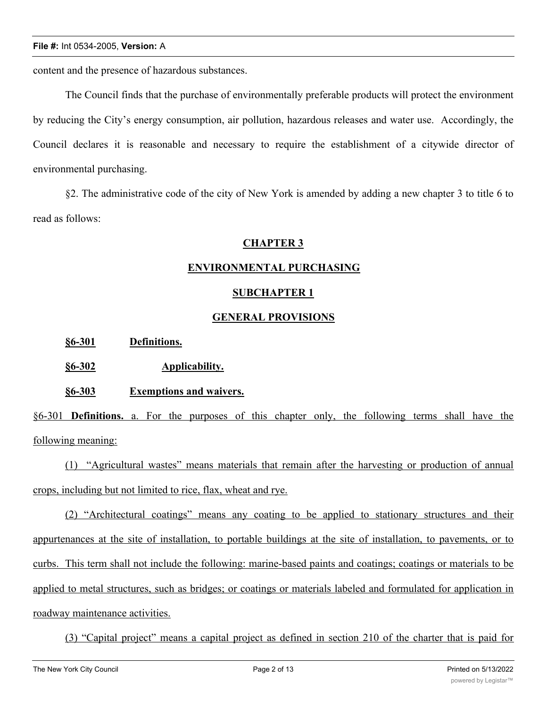content and the presence of hazardous substances.

The Council finds that the purchase of environmentally preferable products will protect the environment by reducing the City's energy consumption, air pollution, hazardous releases and water use. Accordingly, the Council declares it is reasonable and necessary to require the establishment of a citywide director of environmental purchasing.

§2. The administrative code of the city of New York is amended by adding a new chapter 3 to title 6 to read as follows:

## **CHAPTER 3**

## **ENVIRONMENTAL PURCHASING**

## **SUBCHAPTER 1**

## **GENERAL PROVISIONS**

**§6-301 Definitions.**

**§6-302 Applicability.**

## **§6-303 Exemptions and waivers.**

§6-301 **Definitions.** a. For the purposes of this chapter only, the following terms shall have the following meaning:

(1) "Agricultural wastes" means materials that remain after the harvesting or production of annual crops, including but not limited to rice, flax, wheat and rye.

(2) "Architectural coatings" means any coating to be applied to stationary structures and their appurtenances at the site of installation, to portable buildings at the site of installation, to pavements, or to curbs. This term shall not include the following: marine-based paints and coatings; coatings or materials to be applied to metal structures, such as bridges; or coatings or materials labeled and formulated for application in roadway maintenance activities.

(3) "Capital project" means a capital project as defined in section 210 of the charter that is paid for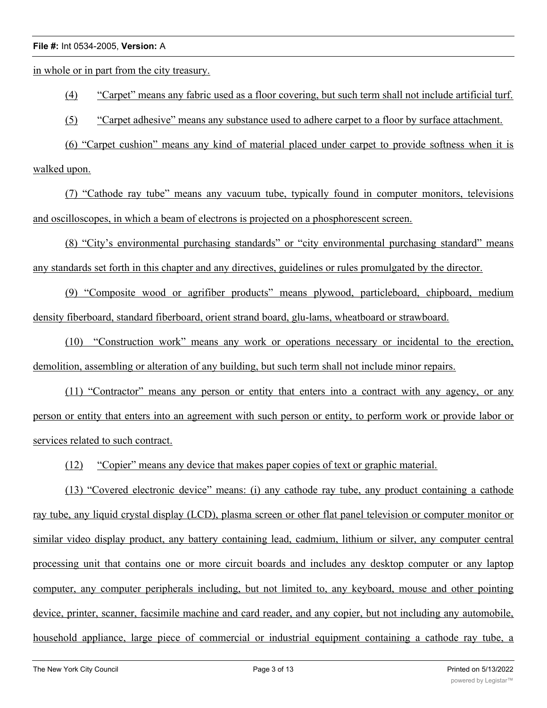in whole or in part from the city treasury.

(4) "Carpet" means any fabric used as a floor covering, but such term shall not include artificial turf.

(5) "Carpet adhesive" means any substance used to adhere carpet to a floor by surface attachment.

(6) "Carpet cushion" means any kind of material placed under carpet to provide softness when it is walked upon.

(7) "Cathode ray tube" means any vacuum tube, typically found in computer monitors, televisions and oscilloscopes, in which a beam of electrons is projected on a phosphorescent screen.

(8) "City's environmental purchasing standards" or "city environmental purchasing standard" means any standards set forth in this chapter and any directives, guidelines or rules promulgated by the director.

(9) "Composite wood or agrifiber products" means plywood, particleboard, chipboard, medium density fiberboard, standard fiberboard, orient strand board, glu-lams, wheatboard or strawboard.

(10) "Construction work" means any work or operations necessary or incidental to the erection, demolition, assembling or alteration of any building, but such term shall not include minor repairs.

(11) "Contractor" means any person or entity that enters into a contract with any agency, or any person or entity that enters into an agreement with such person or entity, to perform work or provide labor or services related to such contract.

(12) "Copier" means any device that makes paper copies of text or graphic material.

(13) "Covered electronic device" means: (i) any cathode ray tube, any product containing a cathode ray tube, any liquid crystal display (LCD), plasma screen or other flat panel television or computer monitor or similar video display product, any battery containing lead, cadmium, lithium or silver, any computer central processing unit that contains one or more circuit boards and includes any desktop computer or any laptop computer, any computer peripherals including, but not limited to, any keyboard, mouse and other pointing device, printer, scanner, facsimile machine and card reader, and any copier, but not including any automobile, household appliance, large piece of commercial or industrial equipment containing a cathode ray tube, a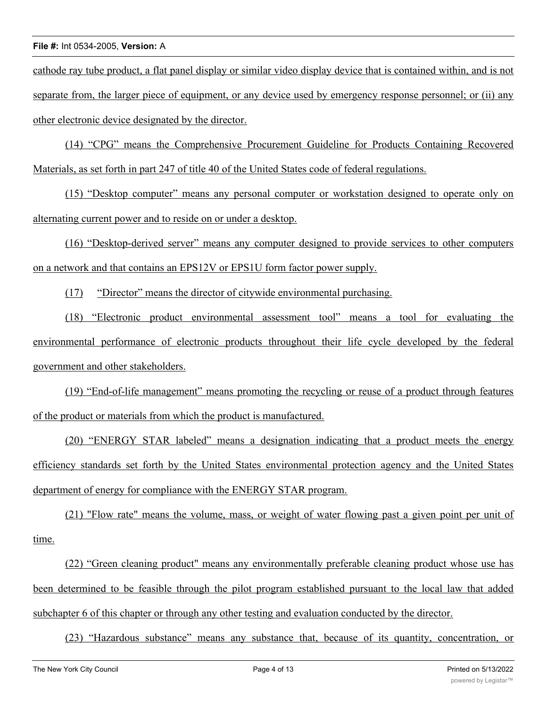cathode ray tube product, a flat panel display or similar video display device that is contained within, and is not separate from, the larger piece of equipment, or any device used by emergency response personnel; or (ii) any other electronic device designated by the director.

(14) "CPG" means the Comprehensive Procurement Guideline for Products Containing Recovered Materials, as set forth in part 247 of title 40 of the United States code of federal regulations.

(15) "Desktop computer" means any personal computer or workstation designed to operate only on alternating current power and to reside on or under a desktop.

(16) "Desktop-derived server" means any computer designed to provide services to other computers on a network and that contains an EPS12V or EPS1U form factor power supply.

(17) "Director" means the director of citywide environmental purchasing.

(18) "Electronic product environmental assessment tool" means a tool for evaluating the environmental performance of electronic products throughout their life cycle developed by the federal government and other stakeholders.

(19) "End-of-life management" means promoting the recycling or reuse of a product through features of the product or materials from which the product is manufactured.

(20) "ENERGY STAR labeled" means a designation indicating that a product meets the energy efficiency standards set forth by the United States environmental protection agency and the United States department of energy for compliance with the ENERGY STAR program.

(21) "Flow rate" means the volume, mass, or weight of water flowing past a given point per unit of time.

(22) "Green cleaning product" means any environmentally preferable cleaning product whose use has been determined to be feasible through the pilot program established pursuant to the local law that added subchapter 6 of this chapter or through any other testing and evaluation conducted by the director.

(23) "Hazardous substance" means any substance that, because of its quantity, concentration, or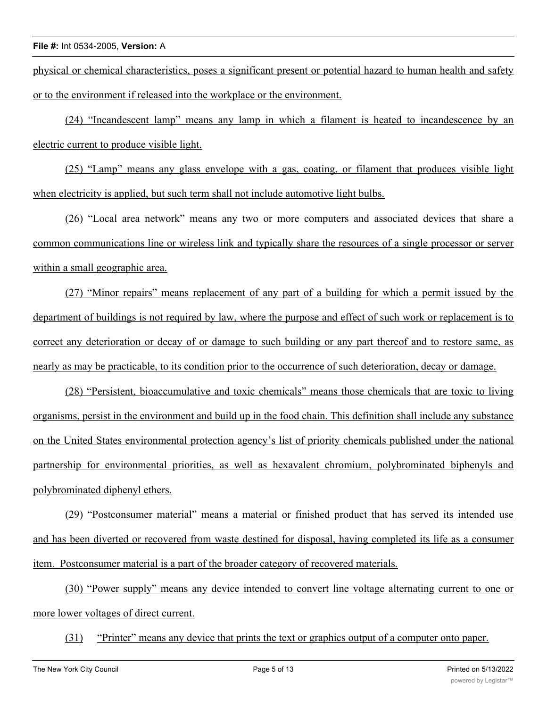physical or chemical characteristics, poses a significant present or potential hazard to human health and safety or to the environment if released into the workplace or the environment.

(24) "Incandescent lamp" means any lamp in which a filament is heated to incandescence by an electric current to produce visible light.

(25) "Lamp" means any glass envelope with a gas, coating, or filament that produces visible light when electricity is applied, but such term shall not include automotive light bulbs.

(26) "Local area network" means any two or more computers and associated devices that share a common communications line or wireless link and typically share the resources of a single processor or server within a small geographic area.

(27) "Minor repairs" means replacement of any part of a building for which a permit issued by the department of buildings is not required by law, where the purpose and effect of such work or replacement is to correct any deterioration or decay of or damage to such building or any part thereof and to restore same, as nearly as may be practicable, to its condition prior to the occurrence of such deterioration, decay or damage.

(28) "Persistent, bioaccumulative and toxic chemicals" means those chemicals that are toxic to living organisms, persist in the environment and build up in the food chain. This definition shall include any substance on the United States environmental protection agency's list of priority chemicals published under the national partnership for environmental priorities, as well as hexavalent chromium, polybrominated biphenyls and polybrominated diphenyl ethers.

(29) "Postconsumer material" means a material or finished product that has served its intended use and has been diverted or recovered from waste destined for disposal, having completed its life as a consumer item. Postconsumer material is a part of the broader category of recovered materials*.*

(30) "Power supply" means any device intended to convert line voltage alternating current to one or more lower voltages of direct current.

(31) "Printer" means any device that prints the text or graphics output of a computer onto paper.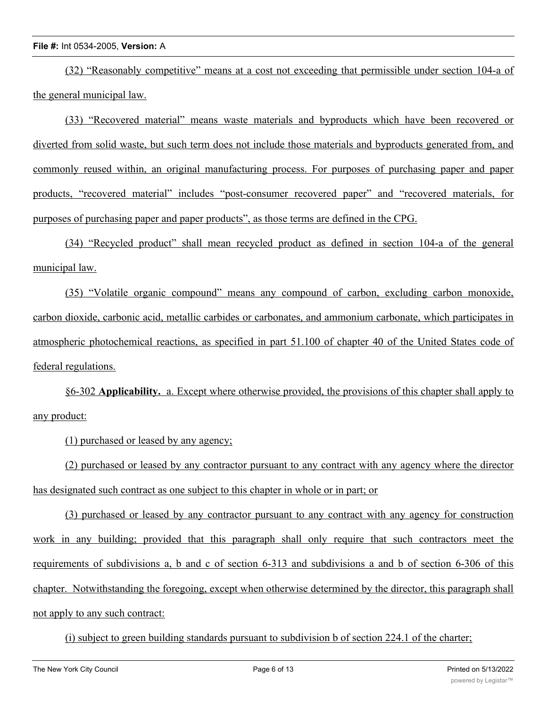(32) "Reasonably competitive" means at a cost not exceeding that permissible under section 104-a of the general municipal law.

(33) "Recovered material" means waste materials and byproducts which have been recovered or diverted from solid waste, but such term does not include those materials and byproducts generated from, and commonly reused within, an original manufacturing process. For purposes of purchasing paper and paper products, "recovered material" includes "post-consumer recovered paper" and "recovered materials, for purposes of purchasing paper and paper products", as those terms are defined in the CPG.

(34) "Recycled product" shall mean recycled product as defined in section 104-a of the general municipal law.

(35) "Volatile organic compound" means any compound of carbon, excluding carbon monoxide, carbon dioxide, carbonic acid, metallic carbides or carbonates, and ammonium carbonate, which participates in atmospheric photochemical reactions, as specified in part 51.100 of chapter 40 of the United States code of federal regulations.

§6-302 **Applicability.** a. Except where otherwise provided, the provisions of this chapter shall apply to any product:

(1) purchased or leased by any agency;

(2) purchased or leased by any contractor pursuant to any contract with any agency where the director has designated such contract as one subject to this chapter in whole or in part; or

(3) purchased or leased by any contractor pursuant to any contract with any agency for construction work in any building; provided that this paragraph shall only require that such contractors meet the requirements of subdivisions a, b and c of section 6-313 and subdivisions a and b of section 6-306 of this chapter. Notwithstanding the foregoing, except when otherwise determined by the director, this paragraph shall not apply to any such contract:

(i) subject to green building standards pursuant to subdivision b of section 224.1 of the charter;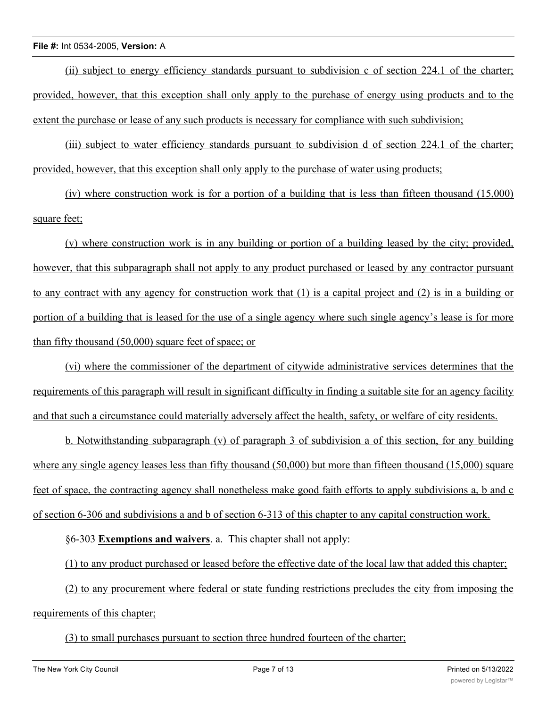(ii) subject to energy efficiency standards pursuant to subdivision c of section 224.1 of the charter; provided, however, that this exception shall only apply to the purchase of energy using products and to the extent the purchase or lease of any such products is necessary for compliance with such subdivision;

(iii) subject to water efficiency standards pursuant to subdivision d of section 224.1 of the charter; provided, however, that this exception shall only apply to the purchase of water using products;

(iv) where construction work is for a portion of a building that is less than fifteen thousand (15,000) square feet;

(v) where construction work is in any building or portion of a building leased by the city; provided, however, that this subparagraph shall not apply to any product purchased or leased by any contractor pursuant to any contract with any agency for construction work that (1) is a capital project and (2) is in a building or portion of a building that is leased for the use of a single agency where such single agency's lease is for more than fifty thousand (50,000) square feet of space; or

(vi) where the commissioner of the department of citywide administrative services determines that the requirements of this paragraph will result in significant difficulty in finding a suitable site for an agency facility and that such a circumstance could materially adversely affect the health, safety, or welfare of city residents.

b. Notwithstanding subparagraph (v) of paragraph 3 of subdivision a of this section, for any building where any single agency leases less than fifty thousand (50,000) but more than fifteen thousand (15,000) square feet of space, the contracting agency shall nonetheless make good faith efforts to apply subdivisions a, b and c of section 6-306 and subdivisions a and b of section 6-313 of this chapter to any capital construction work.

§6-303 **Exemptions and waivers**. a. This chapter shall not apply:

(1) to any product purchased or leased before the effective date of the local law that added this chapter;

(2) to any procurement where federal or state funding restrictions precludes the city from imposing the requirements of this chapter;

(3) to small purchases pursuant to section three hundred fourteen of the charter;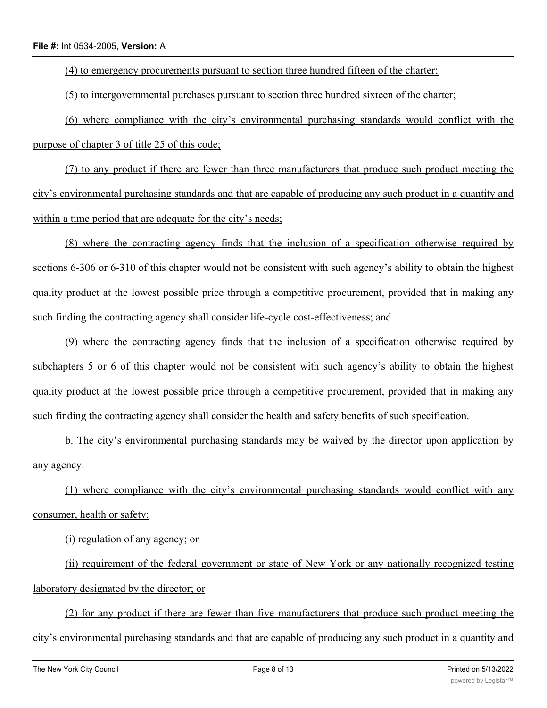(4) to emergency procurements pursuant to section three hundred fifteen of the charter;

(5) to intergovernmental purchases pursuant to section three hundred sixteen of the charter;

(6) where compliance with the city's environmental purchasing standards would conflict with the purpose of chapter 3 of title 25 of this code;

(7) to any product if there are fewer than three manufacturers that produce such product meeting the city's environmental purchasing standards and that are capable of producing any such product in a quantity and within a time period that are adequate for the city's needs;

(8) where the contracting agency finds that the inclusion of a specification otherwise required by sections 6-306 or 6-310 of this chapter would not be consistent with such agency's ability to obtain the highest quality product at the lowest possible price through a competitive procurement, provided that in making any such finding the contracting agency shall consider life-cycle cost-effectiveness; and

(9) where the contracting agency finds that the inclusion of a specification otherwise required by subchapters 5 or 6 of this chapter would not be consistent with such agency's ability to obtain the highest quality product at the lowest possible price through a competitive procurement, provided that in making any such finding the contracting agency shall consider the health and safety benefits of such specification.

b. The city's environmental purchasing standards may be waived by the director upon application by any agency:

(1) where compliance with the city's environmental purchasing standards would conflict with any consumer, health or safety:

(i) regulation of any agency; or

(ii) requirement of the federal government or state of New York or any nationally recognized testing laboratory designated by the director; or

(2) for any product if there are fewer than five manufacturers that produce such product meeting the city's environmental purchasing standards and that are capable of producing any such product in a quantity and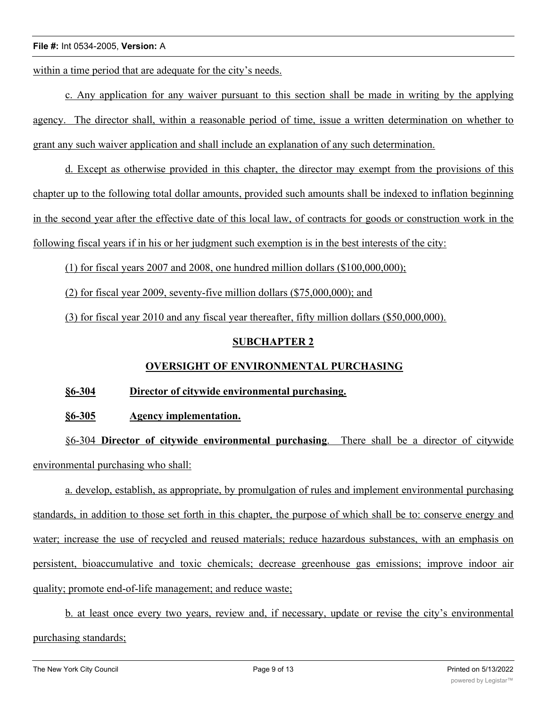within a time period that are adequate for the city's needs.

c. Any application for any waiver pursuant to this section shall be made in writing by the applying agency. The director shall, within a reasonable period of time, issue a written determination on whether to grant any such waiver application and shall include an explanation of any such determination.

d. Except as otherwise provided in this chapter, the director may exempt from the provisions of this chapter up to the following total dollar amounts, provided such amounts shall be indexed to inflation beginning in the second year after the effective date of this local law, of contracts for goods or construction work in the following fiscal years if in his or her judgment such exemption is in the best interests of the city:

(1) for fiscal years 2007 and 2008, one hundred million dollars  $(\$100,000,000)$ ;

(2) for fiscal year 2009, seventy-five million dollars (\$75,000,000); and

(3) for fiscal year 2010 and any fiscal year thereafter, fifty million dollars (\$50,000,000).

## **SUBCHAPTER 2**

# **OVERSIGHT OF ENVIRONMENTAL PURCHASING**

# **§6-304 Director of citywide environmental purchasing.**

# **§6-305 Agency implementation.**

§6-304 **Director of citywide environmental purchasing**. There shall be a director of citywide environmental purchasing who shall:

a. develop, establish, as appropriate, by promulgation of rules and implement environmental purchasing standards, in addition to those set forth in this chapter, the purpose of which shall be to: conserve energy and water; increase the use of recycled and reused materials; reduce hazardous substances, with an emphasis on persistent, bioaccumulative and toxic chemicals; decrease greenhouse gas emissions; improve indoor air quality; promote end-of-life management; and reduce waste;

b. at least once every two years, review and, if necessary, update or revise the city's environmental purchasing standards;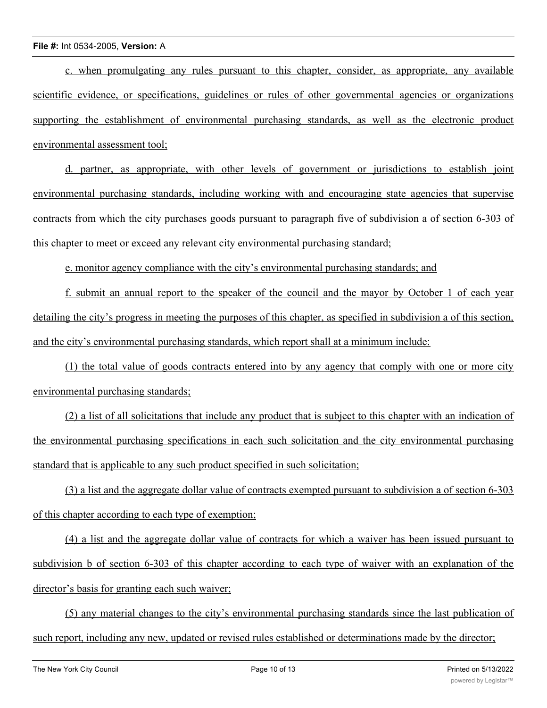c. when promulgating any rules pursuant to this chapter, consider, as appropriate, any available scientific evidence, or specifications, guidelines or rules of other governmental agencies or organizations supporting the establishment of environmental purchasing standards, as well as the electronic product environmental assessment tool;

d. partner, as appropriate, with other levels of government or jurisdictions to establish joint environmental purchasing standards, including working with and encouraging state agencies that supervise contracts from which the city purchases goods pursuant to paragraph five of subdivision a of section 6-303 of this chapter to meet or exceed any relevant city environmental purchasing standard;

e. monitor agency compliance with the city's environmental purchasing standards; and

f. submit an annual report to the speaker of the council and the mayor by October 1 of each year detailing the city's progress in meeting the purposes of this chapter, as specified in subdivision a of this section, and the city's environmental purchasing standards, which report shall at a minimum include:

(1) the total value of goods contracts entered into by any agency that comply with one or more city environmental purchasing standards;

(2) a list of all solicitations that include any product that is subject to this chapter with an indication of the environmental purchasing specifications in each such solicitation and the city environmental purchasing standard that is applicable to any such product specified in such solicitation;

(3) a list and the aggregate dollar value of contracts exempted pursuant to subdivision a of section 6-303 of this chapter according to each type of exemption;

(4) a list and the aggregate dollar value of contracts for which a waiver has been issued pursuant to subdivision b of section 6-303 of this chapter according to each type of waiver with an explanation of the director's basis for granting each such waiver;

(5) any material changes to the city's environmental purchasing standards since the last publication of such report, including any new, updated or revised rules established or determinations made by the director;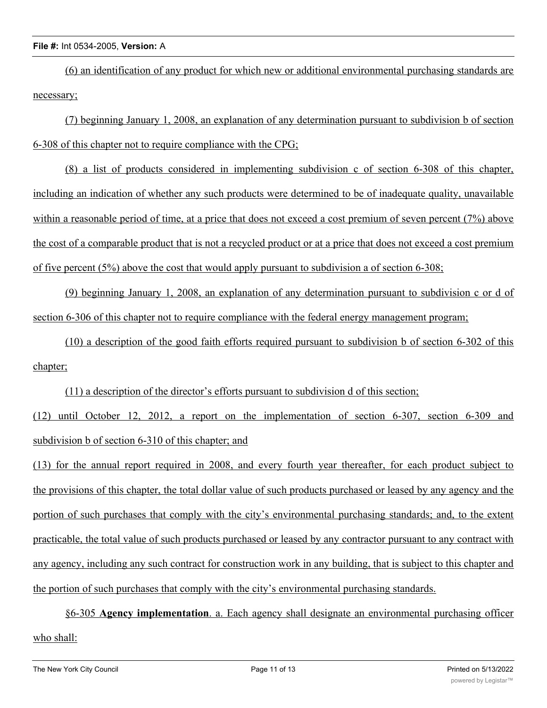(6) an identification of any product for which new or additional environmental purchasing standards are necessary;

(7) beginning January 1, 2008, an explanation of any determination pursuant to subdivision b of section 6-308 of this chapter not to require compliance with the CPG;

(8) a list of products considered in implementing subdivision c of section 6-308 of this chapter, including an indication of whether any such products were determined to be of inadequate quality, unavailable within a reasonable period of time, at a price that does not exceed a cost premium of seven percent (7%) above the cost of a comparable product that is not a recycled product or at a price that does not exceed a cost premium of five percent (5%) above the cost that would apply pursuant to subdivision a of section 6-308;

(9) beginning January 1, 2008, an explanation of any determination pursuant to subdivision c or d of section 6-306 of this chapter not to require compliance with the federal energy management program;

(10) a description of the good faith efforts required pursuant to subdivision b of section 6-302 of this chapter;

(11) a description of the director's efforts pursuant to subdivision d of this section;

(12) until October 12, 2012, a report on the implementation of section 6-307, section 6-309 and subdivision b of section 6-310 of this chapter; and

(13) for the annual report required in 2008, and every fourth year thereafter, for each product subject to the provisions of this chapter, the total dollar value of such products purchased or leased by any agency and the portion of such purchases that comply with the city's environmental purchasing standards; and, to the extent practicable, the total value of such products purchased or leased by any contractor pursuant to any contract with any agency, including any such contract for construction work in any building, that is subject to this chapter and the portion of such purchases that comply with the city's environmental purchasing standards.

§6-305 **Agency implementation**. a. Each agency shall designate an environmental purchasing officer who shall: